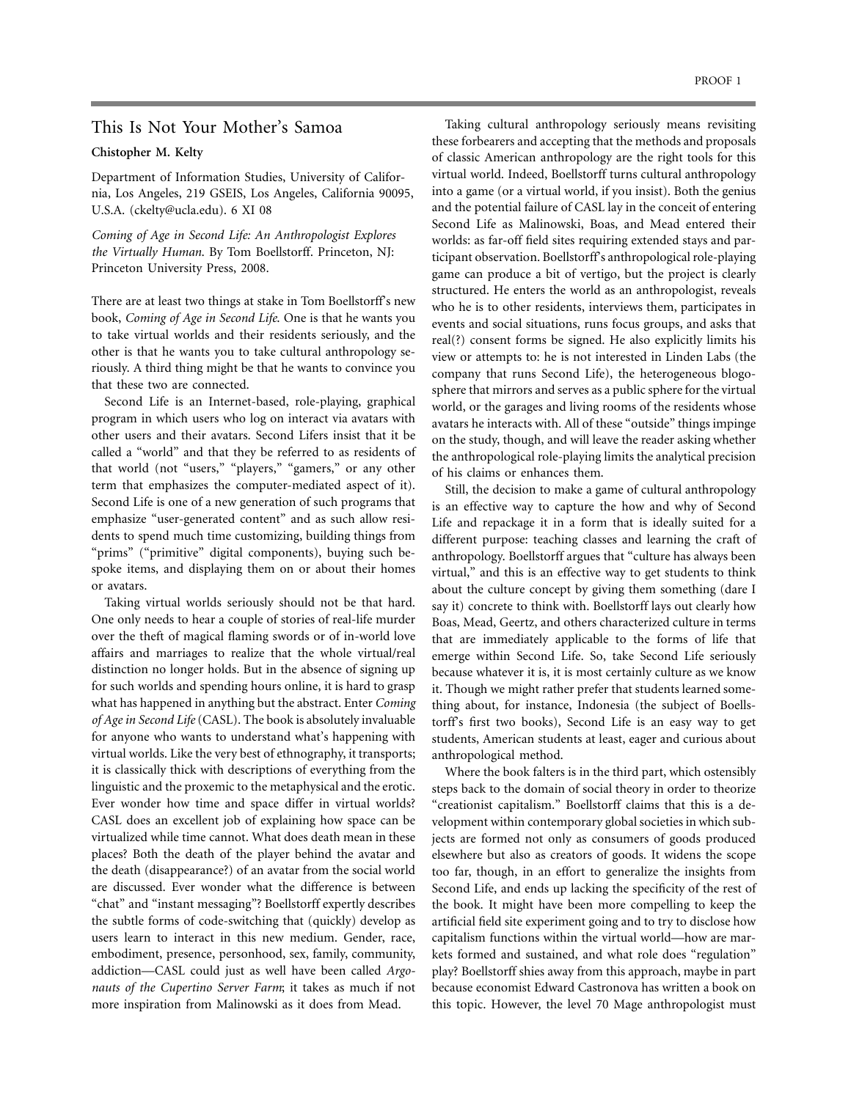## This Is Not Your Mother's Samoa

## **Chistopher M. Kelty**

Department of Information Studies, University of California, Los Angeles, 219 GSEIS, Los Angeles, California 90095, U.S.A. (ckelty@ucla.edu). 6 XI 08

*Coming of Age in Second Life: An Anthropologist Explores the Virtually Human*. By Tom Boellstorff. Princeton, NJ: Princeton University Press, 2008.

There are at least two things at stake in Tom Boellstorff's new book, *Coming of Age in Second Life*. One is that he wants you to take virtual worlds and their residents seriously, and the other is that he wants you to take cultural anthropology seriously. A third thing might be that he wants to convince you that these two are connected.

Second Life is an Internet-based, role-playing, graphical program in which users who log on interact via avatars with other users and their avatars. Second Lifers insist that it be called a "world" and that they be referred to as residents of that world (not "users," "players," "gamers," or any other term that emphasizes the computer-mediated aspect of it). Second Life is one of a new generation of such programs that emphasize "user-generated content" and as such allow residents to spend much time customizing, building things from "prims" ("primitive" digital components), buying such bespoke items, and displaying them on or about their homes or avatars.

Taking virtual worlds seriously should not be that hard. One only needs to hear a couple of stories of real-life murder over the theft of magical flaming swords or of in-world love affairs and marriages to realize that the whole virtual/real distinction no longer holds. But in the absence of signing up for such worlds and spending hours online, it is hard to grasp what has happened in anything but the abstract. Enter *Coming of Age in Second Life* (CASL). The book is absolutely invaluable for anyone who wants to understand what's happening with virtual worlds. Like the very best of ethnography, it transports; it is classically thick with descriptions of everything from the linguistic and the proxemic to the metaphysical and the erotic. Ever wonder how time and space differ in virtual worlds? CASL does an excellent job of explaining how space can be virtualized while time cannot. What does death mean in these places? Both the death of the player behind the avatar and the death (disappearance?) of an avatar from the social world are discussed. Ever wonder what the difference is between "chat" and "instant messaging"? Boellstorff expertly describes the subtle forms of code-switching that (quickly) develop as users learn to interact in this new medium. Gender, race, embodiment, presence, personhood, sex, family, community, addiction—CASL could just as well have been called *Argonauts of the Cupertino Server Farm*; it takes as much if not more inspiration from Malinowski as it does from Mead.

Taking cultural anthropology seriously means revisiting these forbearers and accepting that the methods and proposals of classic American anthropology are the right tools for this virtual world. Indeed, Boellstorff turns cultural anthropology into a game (or a virtual world, if you insist). Both the genius and the potential failure of CASL lay in the conceit of entering Second Life as Malinowski, Boas, and Mead entered their worlds: as far-off field sites requiring extended stays and participant observation. Boellstorff's anthropological role-playing game can produce a bit of vertigo, but the project is clearly structured. He enters the world as an anthropologist, reveals who he is to other residents, interviews them, participates in events and social situations, runs focus groups, and asks that real(?) consent forms be signed. He also explicitly limits his view or attempts to: he is not interested in Linden Labs (the company that runs Second Life), the heterogeneous blogosphere that mirrors and serves as a public sphere for the virtual world, or the garages and living rooms of the residents whose avatars he interacts with. All of these "outside" things impinge on the study, though, and will leave the reader asking whether the anthropological role-playing limits the analytical precision of his claims or enhances them.

Still, the decision to make a game of cultural anthropology is an effective way to capture the how and why of Second Life and repackage it in a form that is ideally suited for a different purpose: teaching classes and learning the craft of anthropology. Boellstorff argues that "culture has always been virtual," and this is an effective way to get students to think about the culture concept by giving them something (dare I say it) concrete to think with. Boellstorff lays out clearly how Boas, Mead, Geertz, and others characterized culture in terms that are immediately applicable to the forms of life that emerge within Second Life. So, take Second Life seriously because whatever it is, it is most certainly culture as we know it. Though we might rather prefer that students learned something about, for instance, Indonesia (the subject of Boellstorff's first two books), Second Life is an easy way to get students, American students at least, eager and curious about anthropological method.

Where the book falters is in the third part, which ostensibly steps back to the domain of social theory in order to theorize "creationist capitalism." Boellstorff claims that this is a development within contemporary global societies in which subjects are formed not only as consumers of goods produced elsewhere but also as creators of goods. It widens the scope too far, though, in an effort to generalize the insights from Second Life, and ends up lacking the specificity of the rest of the book. It might have been more compelling to keep the artificial field site experiment going and to try to disclose how capitalism functions within the virtual world—how are markets formed and sustained, and what role does "regulation" play? Boellstorff shies away from this approach, maybe in part because economist Edward Castronova has written a book on this topic. However, the level 70 Mage anthropologist must